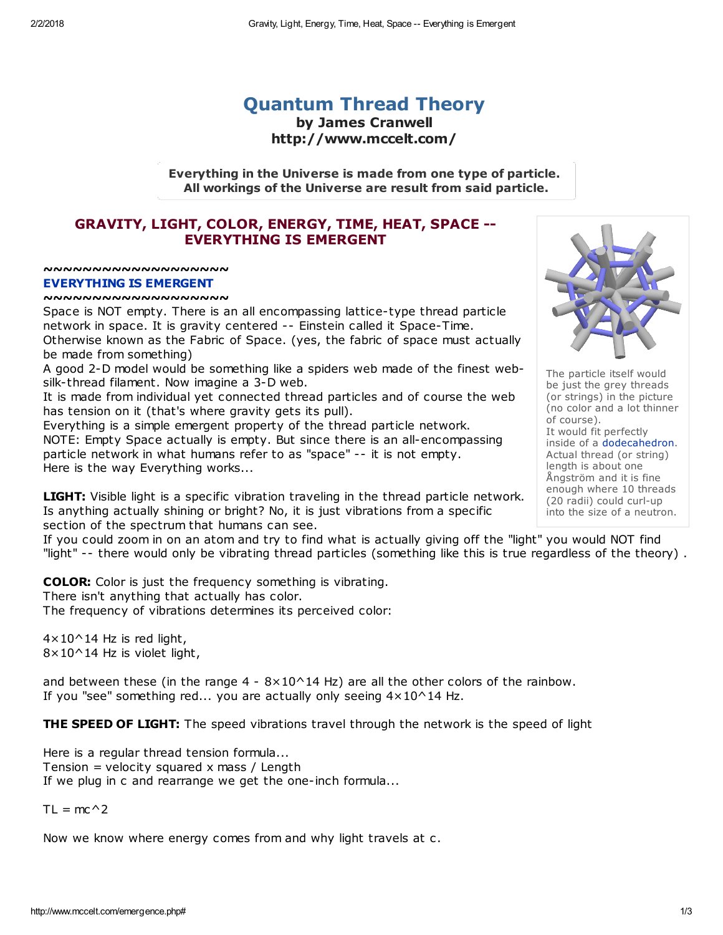## [Quantum](http://www.mccelt.com/fluxparticletheory.pdf) Thread Theory by James Cranwell http://www.mccelt.com/

Everything in the Universe is made from one type of particle. All workings of the Universe are result from said particle.

## GRAVITY, LIGHT, COLOR, ENERGY, TIME, HEAT, SPACE -- [EVERYTHING](http://www.mccelt.com/emergence.pdf) IS EMERGENT

~~~~~~~~~~~~~~~~~~

## EVERYTHING IS EMERGENT

~~~~~~~~~~~~~~~~~~~

Space is NOT empty. There is an all encompassing lattice-type thread particle network in space. It is gravity centered -- Einstein called it Space-Time. Otherwise known as the Fabric of Space. (yes, the fabric of space must actually be made from something)

A good 2-D model would be something like a spiders web made of the finest websilk-thread filament. Now imagine a 3-D web.

It is made from individual yet connected thread particles and of course the web has tension on it (that's where gravity gets its pull).

Everything is a simple emergent property of the thread particle network. NOTE: Empty Space actually is empty. But since there is an all-encompassing particle network in what humans refer to as "space" -- it is not empty. Here is the way Everything works...

**LIGHT:** Visible light is a specific vibration traveling in the thread particle network. Is anything actually shining or bright? No, it is just vibrations from a specific section of the spectrum that humans can see.

If you could zoom in on an atom and try to find what is actually giving off the "light" you would NOT find "light" -- there would only be vibrating thread particles (something like this is true regardless of the theory) .

**COLOR:** Color is just the frequency something is vibrating. There isn't anything that actually has color. The frequency of vibrations determines its perceived color:

 $4 \times 10^{\circ}$  14 Hz is red light, 8×10^14 Hz is violet light,

and between these (in the range  $4 - 8 \times 10^214$  Hz) are all the other colors of the rainbow. If you "see" something red... you are actually only seeing  $4 \times 10^2$  Hz.

**THE SPEED OF LIGHT:** The speed vibrations travel through the network is the speed of light

Here is a regular thread tension formula... Tension = velocity squared x mass / Length If we plug in c and rearrange we get the one-inch formula...

 $TL = mc^2$ 

Now we know where energy comes from and why light travels at c.



The particle itself would be just the grey threads (or strings) in the picture (no color and a lot thinner of course). It would fit perfectly inside of a [dodecahedron](http://www.mccelt.com/dodecahedral_honeycomb.png). Actual thread (or string) length is about one Ångström and it is fine enough where 10 threads (20 radii) could curl-up into the size of a neutron.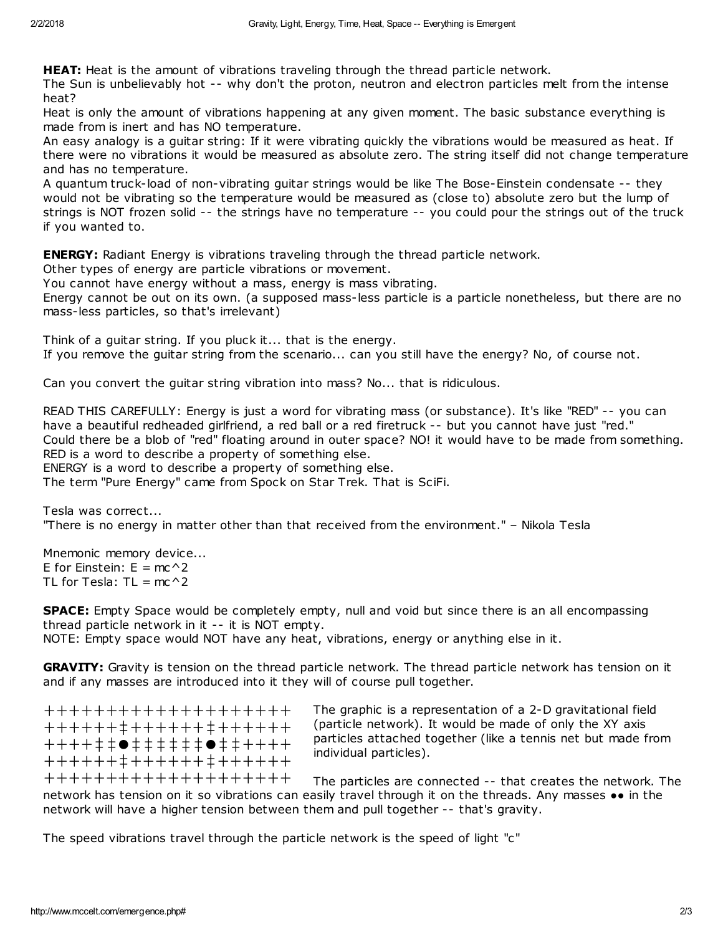**HEAT:** Heat is the amount of vibrations traveling through the thread particle network.

The Sun is unbelievably hot -- why don't the proton, neutron and electron particles melt from the intense heat?

Heat is only the amount of vibrations happening at any given moment. The basic substance everything is made from is inert and has NO temperature.

An easy analogy is a guitar string: If it were vibrating quickly the vibrations would be measured as heat. If there were no vibrations it would be measured as absolute zero. The string itself did not change temperature and has no temperature.

A quantum truck-load of non-vibrating guitar strings would be like The Bose-Einstein condensate -- they would not be vibrating so the temperature would be measured as (close to) absolute zero but the lump of strings is NOT frozen solid -- the strings have no temperature -- you could pour the strings out of the truck if you wanted to.

**ENERGY:** Radiant Energy is vibrations traveling through the thread particle network.

Other types of energy are particle vibrations or movement.

You cannot have energy without a mass, energy is mass vibrating.

Energy cannot be out on its own. (a supposed mass-less particle is a particle nonetheless, but there are no mass-less particles, so that's irrelevant)

Think of a guitar string. If you pluck it... that is the energy. If you remove the guitar string from the scenario... can you still have the energy? No, of course not.

Can you convert the guitar string vibration into mass? No... that is ridiculous.

READ THIS CAREFULLY: Energy is just a word for vibrating mass (or substance). It's like "RED" -- you can have a beautiful redheaded girlfriend, a red ball or a red firetruck -- but you cannot have just "red." Could there be a blob of "red" floating around in outer space? NO! it would have to be made from something. RED is a word to describe a property of something else.

ENERGY is a word to describe a property of something else.

The term "Pure Energy" came from Spock on Star Trek. That is SciFi.

Tesla was correct... "There is no energy in matter other than that received from the environment." – Nikola Tesla

Mnemonic memory device... E for Einstein:  $E = mc^2$ TL for Tesla:  $TL = mc^2$ 

SPACE: Empty Space would be completely empty, null and void but since there is an all encompassing thread particle network in it -- it is NOT empty. NOTE: Empty space would NOT have any heat, vibrations, energy or anything else in it.

GRAVITY: Gravity is tension on the thread particle network. The thread particle network has tension on it and if any masses are introduced into it they will of course pull together.

++++++++++++++++++++ ++++++‡++++++‡++++++ ++++‡‡●‡‡‡‡‡‡●‡‡++++ ++++++‡++++++‡++++++ ++++++++++++++++++++ The graphic is a representation of a 2-D gravitational field (particle network). It would be made of only the XY axis particles attached together (like a tennis net but made from individual particles).

The particles are connected -- that creates the network. The network has tension on it so vibrations can easily travel through it on the threads. Any masses •• in the network will have a higher tension between them and pull together -- that's gravity.

The speed vibrations travel through the particle network is the speed of light "c"